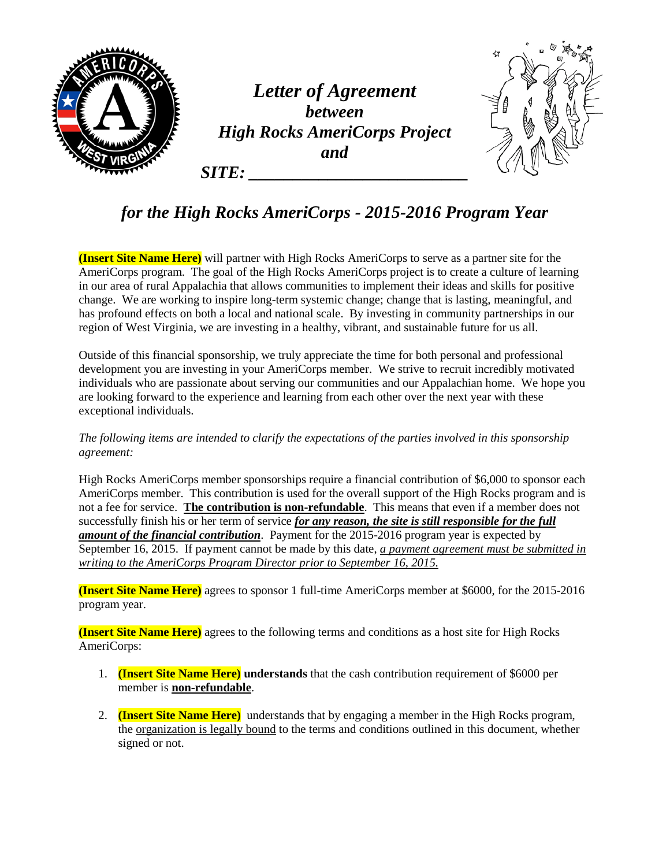

## *for the High Rocks AmeriCorps - 2015-2016 Program Year*

**(Insert Site Name Here)** will partner with High Rocks AmeriCorps to serve as a partner site for the AmeriCorps program. The goal of the High Rocks AmeriCorps project is to create a culture of learning in our area of rural Appalachia that allows communities to implement their ideas and skills for positive change. We are working to inspire long-term systemic change; change that is lasting, meaningful, and has profound effects on both a local and national scale. By investing in community partnerships in our region of West Virginia, we are investing in a healthy, vibrant, and sustainable future for us all.

Outside of this financial sponsorship, we truly appreciate the time for both personal and professional development you are investing in your AmeriCorps member. We strive to recruit incredibly motivated individuals who are passionate about serving our communities and our Appalachian home. We hope you are looking forward to the experience and learning from each other over the next year with these exceptional individuals.

*The following items are intended to clarify the expectations of the parties involved in this sponsorship agreement:*

High Rocks AmeriCorps member sponsorships require a financial contribution of \$6,000 to sponsor each AmeriCorps member. This contribution is used for the overall support of the High Rocks program and is not a fee for service. **The contribution is non-refundable**. This means that even if a member does not successfully finish his or her term of service *for any reason, the site is still responsible for the full amount of the financial contribution*. Payment for the 2015-2016 program year is expected by September 16, 2015. If payment cannot be made by this date, *a payment agreement must be submitted in writing to the AmeriCorps Program Director prior to September 16, 2015.*

**(Insert Site Name Here)** agrees to sponsor 1 full-time AmeriCorps member at \$6000, for the 2015-2016 program year.

**(Insert Site Name Here)** agrees to the following terms and conditions as a host site for High Rocks AmeriCorps:

- 1. **(Insert Site Name Here) understands** that the cash contribution requirement of \$6000 per member is **non-refundable**.
- 2. **(Insert Site Name Here)** understands that by engaging a member in the High Rocks program, the organization is legally bound to the terms and conditions outlined in this document, whether signed or not.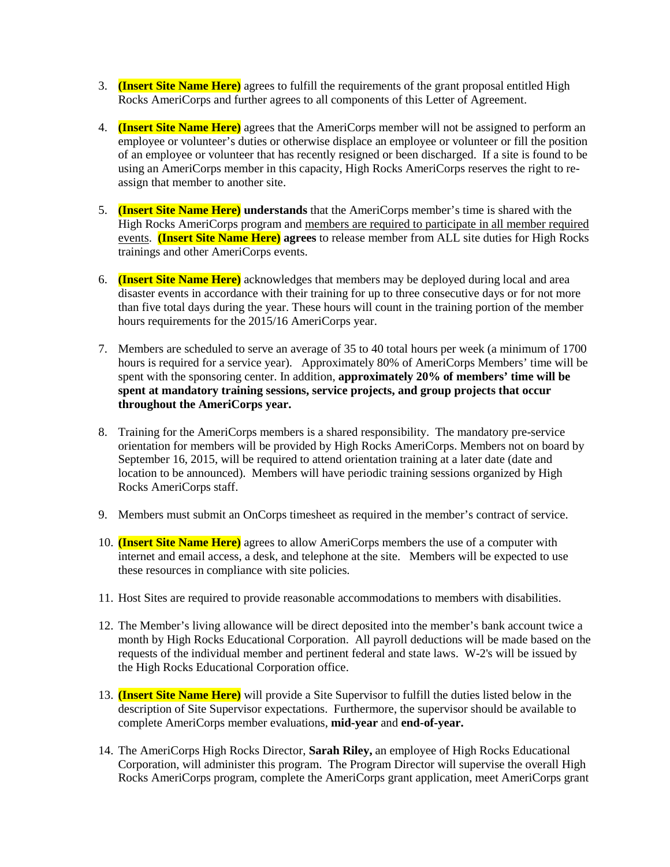- 3. **(Insert Site Name Here)** agrees to fulfill the requirements of the grant proposal entitled High Rocks AmeriCorps and further agrees to all components of this Letter of Agreement.
- 4. **(Insert Site Name Here)** agrees that the AmeriCorps member will not be assigned to perform an employee or volunteer's duties or otherwise displace an employee or volunteer or fill the position of an employee or volunteer that has recently resigned or been discharged. If a site is found to be using an AmeriCorps member in this capacity, High Rocks AmeriCorps reserves the right to reassign that member to another site.
- 5. **(Insert Site Name Here) understands** that the AmeriCorps member's time is shared with the High Rocks AmeriCorps program and members are required to participate in all member required events. **(Insert Site Name Here) agrees** to release member from ALL site duties for High Rocks trainings and other AmeriCorps events.
- 6. **(Insert Site Name Here)** acknowledges that members may be deployed during local and area disaster events in accordance with their training for up to three consecutive days or for not more than five total days during the year. These hours will count in the training portion of the member hours requirements for the 2015/16 AmeriCorps year.
- 7. Members are scheduled to serve an average of 35 to 40 total hours per week (a minimum of 1700 hours is required for a service year). Approximately 80% of AmeriCorps Members' time will be spent with the sponsoring center. In addition, **approximately 20% of members' time will be spent at mandatory training sessions, service projects, and group projects that occur throughout the AmeriCorps year.**
- 8. Training for the AmeriCorps members is a shared responsibility. The mandatory pre-service orientation for members will be provided by High Rocks AmeriCorps. Members not on board by September 16, 2015, will be required to attend orientation training at a later date (date and location to be announced). Members will have periodic training sessions organized by High Rocks AmeriCorps staff.
- 9. Members must submit an OnCorps timesheet as required in the member's contract of service.
- 10. **(Insert Site Name Here)** agrees to allow AmeriCorps members the use of a computer with internet and email access, a desk, and telephone at the site. Members will be expected to use these resources in compliance with site policies.
- 11. Host Sites are required to provide reasonable accommodations to members with disabilities.
- 12. The Member's living allowance will be direct deposited into the member's bank account twice a month by High Rocks Educational Corporation. All payroll deductions will be made based on the requests of the individual member and pertinent federal and state laws. W-2's will be issued by the High Rocks Educational Corporation office.
- 13. **(Insert Site Name Here)** will provide a Site Supervisor to fulfill the duties listed below in the description of Site Supervisor expectations. Furthermore, the supervisor should be available to complete AmeriCorps member evaluations, **mid-year** and **end-of-year.**
- 14. The AmeriCorps High Rocks Director, **Sarah Riley,** an employee of High Rocks Educational Corporation, will administer this program. The Program Director will supervise the overall High Rocks AmeriCorps program, complete the AmeriCorps grant application, meet AmeriCorps grant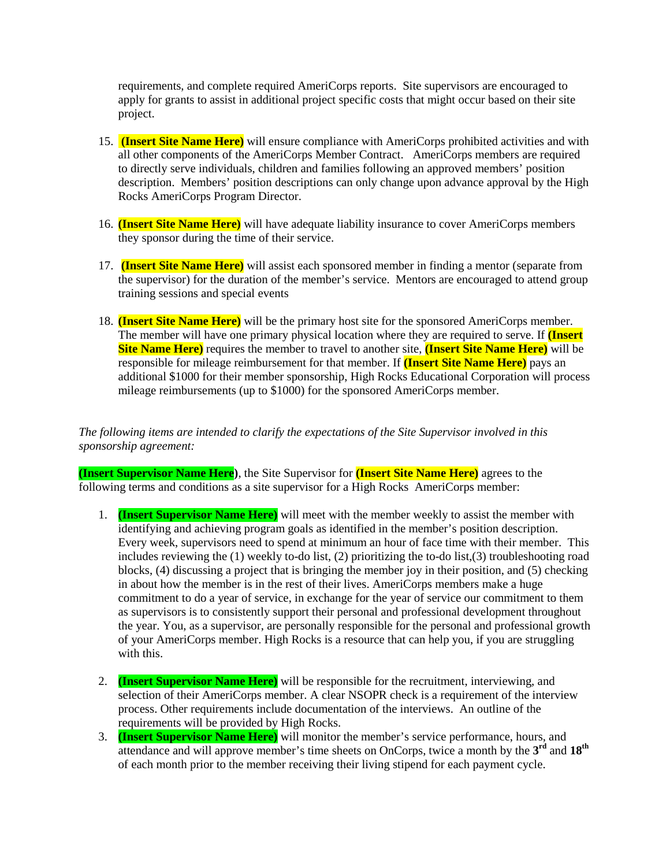requirements, and complete required AmeriCorps reports. Site supervisors are encouraged to apply for grants to assist in additional project specific costs that might occur based on their site project.

- 15. **(Insert Site Name Here)** will ensure compliance with AmeriCorps prohibited activities and with all other components of the AmeriCorps Member Contract. AmeriCorps members are required to directly serve individuals, children and families following an approved members' position description. Members' position descriptions can only change upon advance approval by the High Rocks AmeriCorps Program Director.
- 16. **(Insert Site Name Here)** will have adequate liability insurance to cover AmeriCorps members they sponsor during the time of their service.
- 17. **(Insert Site Name Here)** will assist each sponsored member in finding a mentor (separate from the supervisor) for the duration of the member's service. Mentors are encouraged to attend group training sessions and special events
- 18. **(Insert Site Name Here)** will be the primary host site for the sponsored AmeriCorps member. The member will have one primary physical location where they are required to serve. If **(Insert Site Name Here)** requires the member to travel to another site, **(Insert Site Name Here)** will be responsible for mileage reimbursement for that member. If **(Insert Site Name Here)** pays an additional \$1000 for their member sponsorship, High Rocks Educational Corporation will process mileage reimbursements (up to \$1000) for the sponsored AmeriCorps member.

*The following items are intended to clarify the expectations of the Site Supervisor involved in this sponsorship agreement:*

**(Insert Supervisor Name Here)**, the Site Supervisor for **(Insert Site Name Here)** agrees to the following terms and conditions as a site supervisor for a High Rocks AmeriCorps member:

- 1. **(Insert Supervisor Name Here)** will meet with the member weekly to assist the member with identifying and achieving program goals as identified in the member's position description. Every week, supervisors need to spend at minimum an hour of face time with their member. This includes reviewing the (1) weekly to-do list, (2) prioritizing the to-do list,(3) troubleshooting road blocks, (4) discussing a project that is bringing the member joy in their position, and (5) checking in about how the member is in the rest of their lives. AmeriCorps members make a huge commitment to do a year of service, in exchange for the year of service our commitment to them as supervisors is to consistently support their personal and professional development throughout the year. You, as a supervisor, are personally responsible for the personal and professional growth of your AmeriCorps member. High Rocks is a resource that can help you, if you are struggling with this.
- 2. **(Insert Supervisor Name Here)** will be responsible for the recruitment, interviewing, and selection of their AmeriCorps member. A clear NSOPR check is a requirement of the interview process. Other requirements include documentation of the interviews. An outline of the requirements will be provided by High Rocks.
- 3. **(Insert Supervisor Name Here)** will monitor the member's service performance, hours, and attendance and will approve member's time sheets on OnCorps, twice a month by the **3rd** and **18th** of each month prior to the member receiving their living stipend for each payment cycle.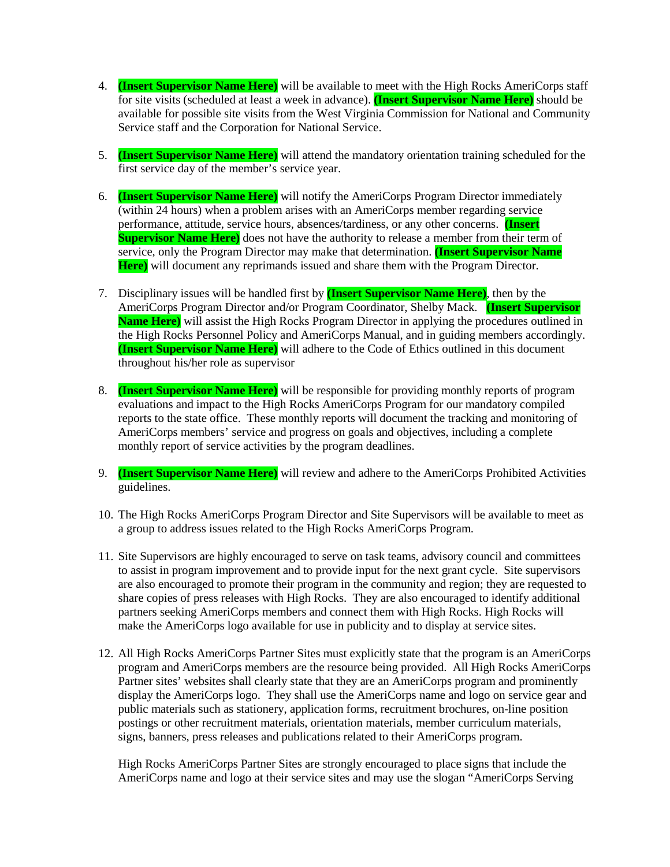- 4. **(Insert Supervisor Name Here)** will be available to meet with the High Rocks AmeriCorps staff for site visits (scheduled at least a week in advance). **(Insert Supervisor Name Here)** should be available for possible site visits from the West Virginia Commission for National and Community Service staff and the Corporation for National Service.
- 5. **(Insert Supervisor Name Here)** will attend the mandatory orientation training scheduled for the first service day of the member's service year.
- 6. **(Insert Supervisor Name Here)** will notify the AmeriCorps Program Director immediately (within 24 hours) when a problem arises with an AmeriCorps member regarding service performance, attitude, service hours, absences/tardiness, or any other concerns. **(Insert Supervisor Name Here)** does not have the authority to release a member from their term of service, only the Program Director may make that determination. **(Insert Supervisor Name Here)** will document any reprimands issued and share them with the Program Director.
- 7. Disciplinary issues will be handled first by **(Insert Supervisor Name Here)**, then by the AmeriCorps Program Director and/or Program Coordinator, Shelby Mack. **(Insert Supervisor Name Here)** will assist the High Rocks Program Director in applying the procedures outlined in the High Rocks Personnel Policy and AmeriCorps Manual, and in guiding members accordingly. **(Insert Supervisor Name Here)** will adhere to the Code of Ethics outlined in this document throughout his/her role as supervisor
- 8. **(Insert Supervisor Name Here)** will be responsible for providing monthly reports of program evaluations and impact to the High Rocks AmeriCorps Program for our mandatory compiled reports to the state office. These monthly reports will document the tracking and monitoring of AmeriCorps members' service and progress on goals and objectives, including a complete monthly report of service activities by the program deadlines.
- 9. **(Insert Supervisor Name Here)** will review and adhere to the AmeriCorps Prohibited Activities guidelines.
- 10. The High Rocks AmeriCorps Program Director and Site Supervisors will be available to meet as a group to address issues related to the High Rocks AmeriCorps Program.
- 11. Site Supervisors are highly encouraged to serve on task teams, advisory council and committees to assist in program improvement and to provide input for the next grant cycle. Site supervisors are also encouraged to promote their program in the community and region; they are requested to share copies of press releases with High Rocks. They are also encouraged to identify additional partners seeking AmeriCorps members and connect them with High Rocks. High Rocks will make the AmeriCorps logo available for use in publicity and to display at service sites.
- 12. All High Rocks AmeriCorps Partner Sites must explicitly state that the program is an AmeriCorps program and AmeriCorps members are the resource being provided. All High Rocks AmeriCorps Partner sites' websites shall clearly state that they are an AmeriCorps program and prominently display the AmeriCorps logo. They shall use the AmeriCorps name and logo on service gear and public materials such as stationery, application forms, recruitment brochures, on-line position postings or other recruitment materials, orientation materials, member curriculum materials, signs, banners, press releases and publications related to their AmeriCorps program.

High Rocks AmeriCorps Partner Sites are strongly encouraged to place signs that include the AmeriCorps name and logo at their service sites and may use the slogan "AmeriCorps Serving